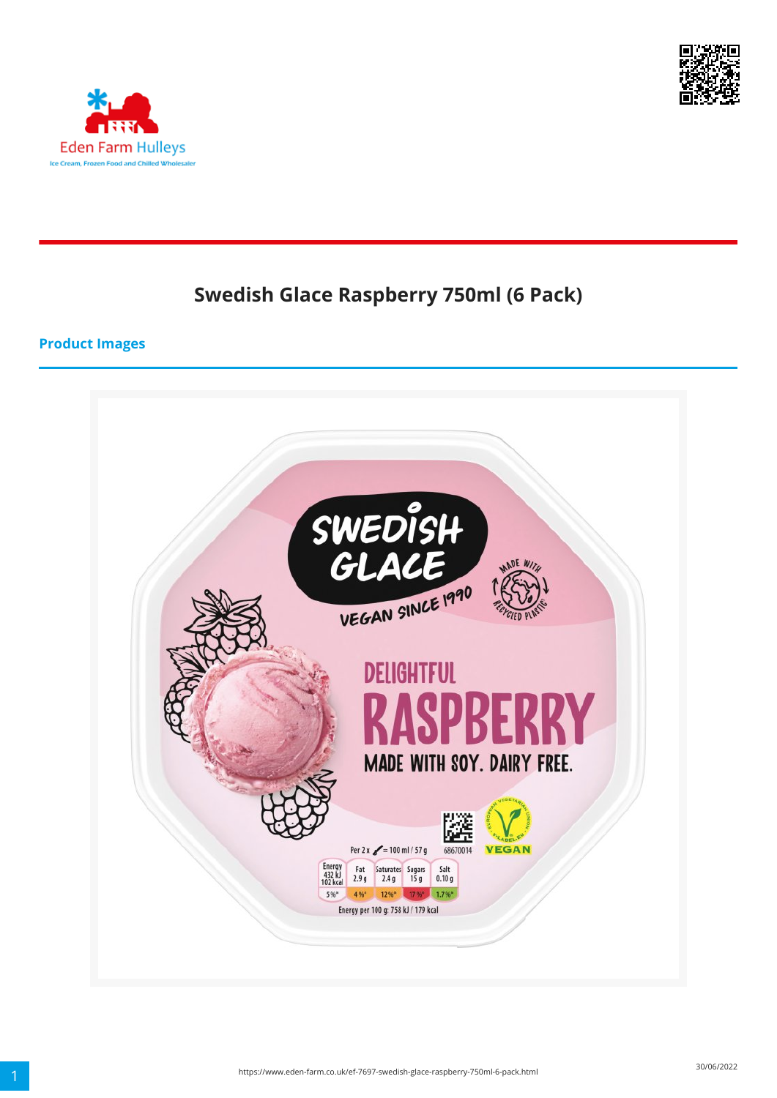



# **Swedish Glace Raspberry 750ml (6 Pack)**

#### **Product Images**

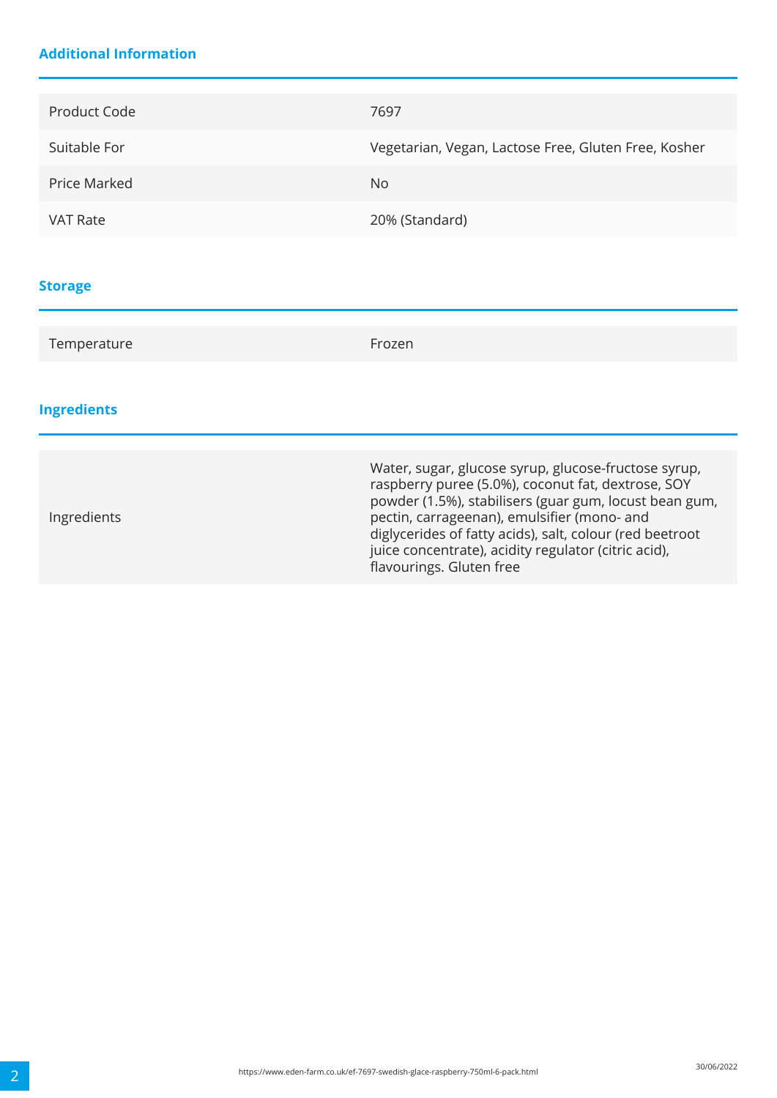## **Additional Information**

| <b>Product Code</b> | 7697                                                                                                                                                                                                                                                                                                                                                                |
|---------------------|---------------------------------------------------------------------------------------------------------------------------------------------------------------------------------------------------------------------------------------------------------------------------------------------------------------------------------------------------------------------|
| Suitable For        | Vegetarian, Vegan, Lactose Free, Gluten Free, Kosher                                                                                                                                                                                                                                                                                                                |
| <b>Price Marked</b> | <b>No</b>                                                                                                                                                                                                                                                                                                                                                           |
| <b>VAT Rate</b>     | 20% (Standard)                                                                                                                                                                                                                                                                                                                                                      |
|                     |                                                                                                                                                                                                                                                                                                                                                                     |
| <b>Storage</b>      |                                                                                                                                                                                                                                                                                                                                                                     |
| Temperature         | Frozen                                                                                                                                                                                                                                                                                                                                                              |
|                     |                                                                                                                                                                                                                                                                                                                                                                     |
| <b>Ingredients</b>  |                                                                                                                                                                                                                                                                                                                                                                     |
|                     |                                                                                                                                                                                                                                                                                                                                                                     |
| Ingredients         | Water, sugar, glucose syrup, glucose-fructose syrup,<br>raspberry puree (5.0%), coconut fat, dextrose, SOY<br>powder (1.5%), stabilisers (guar gum, locust bean gum,<br>pectin, carrageenan), emulsifier (mono- and<br>diglycerides of fatty acids), salt, colour (red beetroot<br>juice concentrate), acidity regulator (citric acid),<br>flavourings. Gluten free |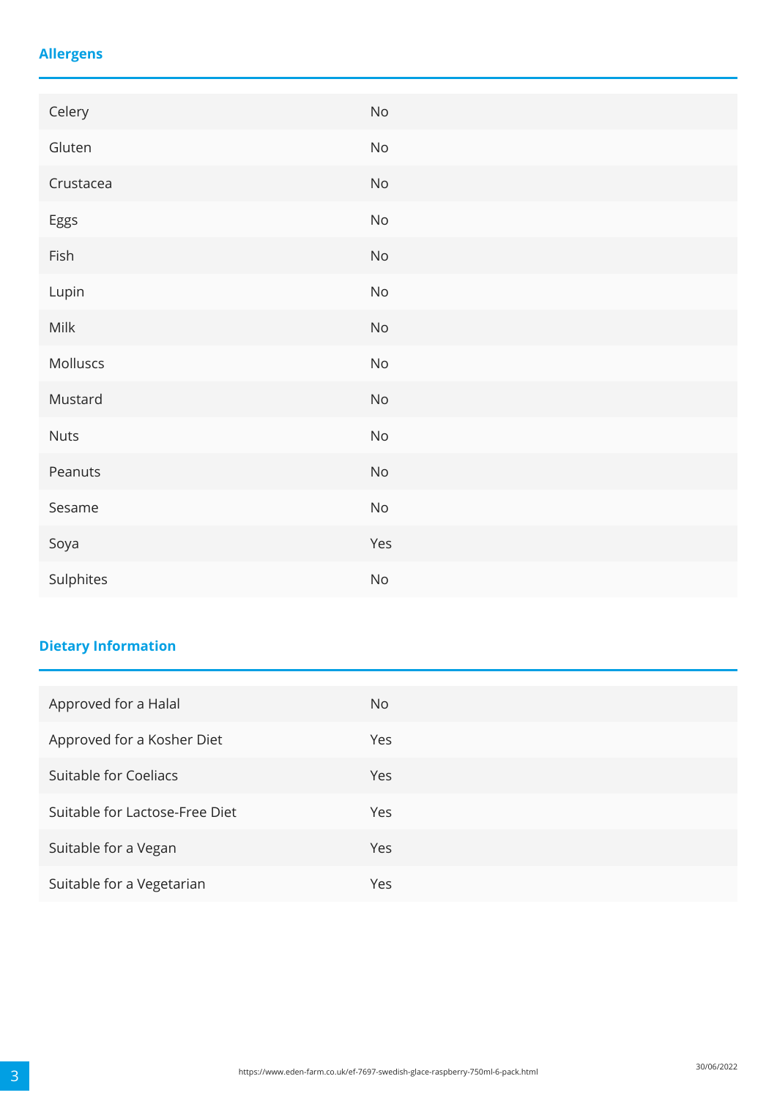## **Allergens**

| Celery      | $\mathsf{No}$ |
|-------------|---------------|
| Gluten      | $\rm No$      |
| Crustacea   | $\mathsf{No}$ |
| Eggs        | $\mathsf{No}$ |
| Fish        | $\mathsf{No}$ |
| Lupin       | $\mathsf{No}$ |
| Milk        | $\mathsf{No}$ |
| Molluscs    | $\rm No$      |
| Mustard     | $\mathsf{No}$ |
| <b>Nuts</b> | $\rm No$      |
| Peanuts     | $\rm No$      |
| Sesame      | $\rm No$      |
| Soya        | Yes           |
| Sulphites   | $\rm No$      |

# **Dietary Information**

| Approved for a Halal           | No. |
|--------------------------------|-----|
| Approved for a Kosher Diet     | Yes |
| Suitable for Coeliacs          | Yes |
| Suitable for Lactose-Free Diet | Yes |
| Suitable for a Vegan           | Yes |
| Suitable for a Vegetarian      | Yes |